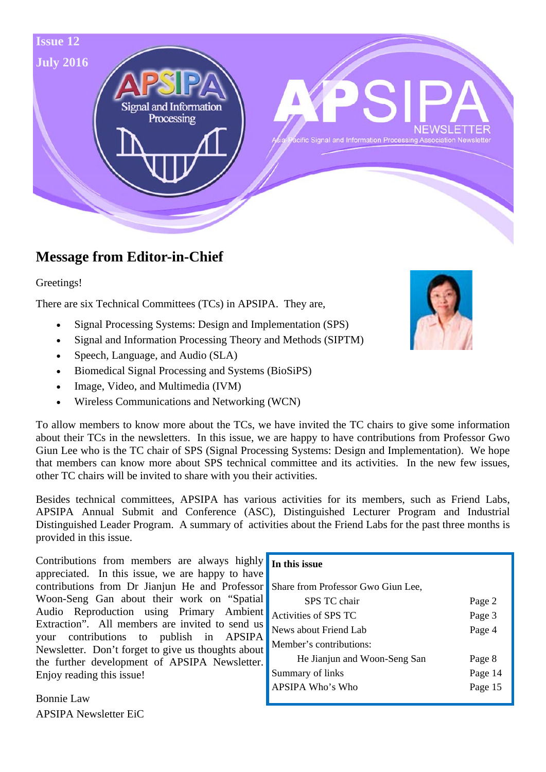

# **Message from Editor-in-Chief**

Greetings!

There are six Technical Committees (TCs) in APSIPA. They are,

- Signal Processing Systems: Design and Implementation (SPS)
- Signal and Information Processing Theory and Methods (SIPTM)
- Speech, Language, and Audio (SLA)
- Biomedical Signal Processing and Systems (BioSiPS)
- Image, Video, and Multimedia (IVM)
- Wireless Communications and Networking (WCN)

To allow members to know more about the TCs, we have invited the TC chairs to give some information about their TCs in the newsletters. In this issue, we are happy to have contributions from Professor Gwo Giun Lee who is the TC chair of SPS (Signal Processing Systems: Design and Implementation). We hope that members can know more about SPS technical committee and its activities. In the new few issues, other TC chairs will be invited to share with you their activities.

Besides technical committees, APSIPA has various activities for its members, such as Friend Labs, APSIPA Annual Submit and Conference (ASC), Distinguished Lecturer Program and Industrial Distinguished Leader Program. A summary of activities about the Friend Labs for the past three months is provided in this issue.

Contributions from members are always highly appreciated. In this issue, we are happy to have contributions from Dr Jianjun He and Professor Woon-Seng Gan about their work on "Spatial Audio Reproduction using Primary Ambient Extraction". All members are invited to send us your contributions to publish in APSIPA Newsletter. Don't forget to give us thoughts about the further development of APSIPA Newsletter. Enjoy reading this issue!

Bonnie Law APSIPA Newsletter EiC

#### **In this issue**

| Share from Professor Gwo Giun Lee, |         |
|------------------------------------|---------|
| SPS TC chair                       | Page 2  |
| Activities of SPS TC               | Page 3  |
| News about Friend Lab              | Page 4  |
| Member's contributions:            |         |
| He Jianjun and Woon-Seng San       | Page 8  |
| Summary of links                   | Page 14 |
| APSIPA Who's Who                   | Page 15 |
|                                    |         |

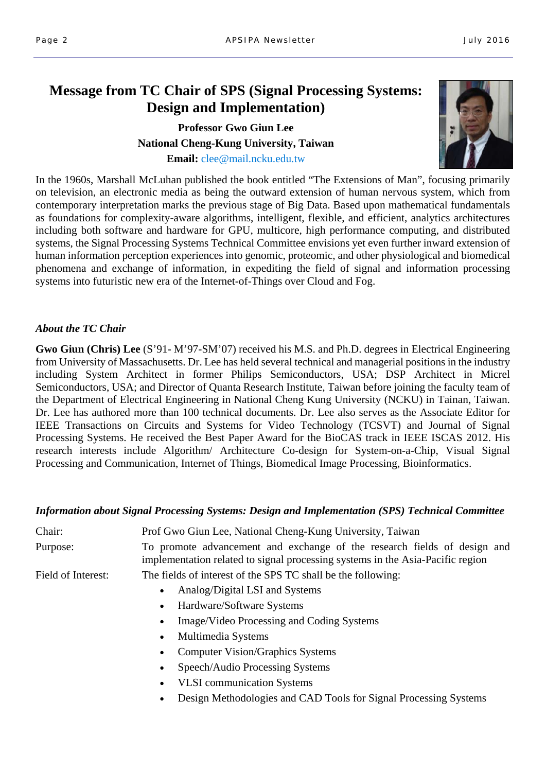# **Message from TC Chair of SPS (Signal Processing Systems: Design and Implementation)**

# **Professor Gwo Giun Lee National Cheng-Kung University, Taiwan Email:** clee@mail.ncku.edu.tw



In the 1960s, Marshall McLuhan published the book entitled "The Extensions of Man", focusing primarily on television, an electronic media as being the outward extension of human nervous system, which from contemporary interpretation marks the previous stage of Big Data. Based upon mathematical fundamentals as foundations for complexity-aware algorithms, intelligent, flexible, and efficient, analytics architectures including both software and hardware for GPU, multicore, high performance computing, and distributed systems, the Signal Processing Systems Technical Committee envisions yet even further inward extension of human information perception experiences into genomic, proteomic, and other physiological and biomedical phenomena and exchange of information, in expediting the field of signal and information processing systems into futuristic new era of the Internet-of-Things over Cloud and Fog.

### *About the TC Chair*

**Gwo Giun (Chris) Lee** (S'91- M'97-SM'07) received his M.S. and Ph.D. degrees in Electrical Engineering from University of Massachusetts. Dr. Lee has held several technical and managerial positions in the industry including System Architect in former Philips Semiconductors, USA; DSP Architect in Micrel Semiconductors, USA; and Director of Quanta Research Institute, Taiwan before joining the faculty team of the Department of Electrical Engineering in National Cheng Kung University (NCKU) in Tainan, Taiwan. Dr. Lee has authored more than 100 technical documents. Dr. Lee also serves as the Associate Editor for IEEE Transactions on Circuits and Systems for Video Technology (TCSVT) and Journal of Signal Processing Systems. He received the Best Paper Award for the BioCAS track in IEEE ISCAS 2012. His research interests include Algorithm/ Architecture Co-design for System-on-a-Chip, Visual Signal Processing and Communication, Internet of Things, Biomedical Image Processing, Bioinformatics.

### *Information about Signal Processing Systems: Design and Implementation (SPS) Technical Committee*

| Chair:             | Prof Gwo Giun Lee, National Cheng-Kung University, Taiwan                                                                                                  |  |  |  |
|--------------------|------------------------------------------------------------------------------------------------------------------------------------------------------------|--|--|--|
| Purpose:           | To promote advancement and exchange of the research fields of design and<br>implementation related to signal processing systems in the Asia-Pacific region |  |  |  |
| Field of Interest: | The fields of interest of the SPS TC shall be the following:                                                                                               |  |  |  |
|                    | Analog/Digital LSI and Systems                                                                                                                             |  |  |  |
|                    | Hardware/Software Systems                                                                                                                                  |  |  |  |
|                    | Image/Video Processing and Coding Systems                                                                                                                  |  |  |  |
|                    | Multimedia Systems                                                                                                                                         |  |  |  |
|                    | <b>Computer Vision/Graphics Systems</b>                                                                                                                    |  |  |  |
|                    | Speech/Audio Processing Systems                                                                                                                            |  |  |  |
|                    | <b>VLSI</b> communication Systems<br>$\bullet$                                                                                                             |  |  |  |
|                    | Design Methodologies and CAD Tools for Signal Processing Systems<br>$\bullet$                                                                              |  |  |  |
|                    |                                                                                                                                                            |  |  |  |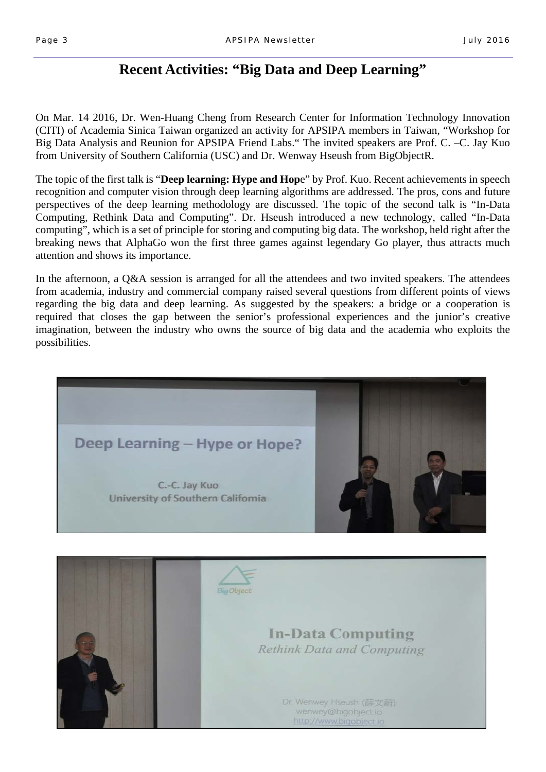# **Recent Activities: "Big Data and Deep Learning"**

On Mar. 14 2016, Dr. Wen-Huang Cheng from Research Center for Information Technology Innovation (CITI) of Academia Sinica Taiwan organized an activity for APSIPA members in Taiwan, "Workshop for Big Data Analysis and Reunion for APSIPA Friend Labs." The invited speakers are Prof. C. –C. Jay Kuo from University of Southern California (USC) and Dr. Wenway Hseush from BigObjectR.

The topic of the first talk is "**Deep learning: Hype and Hop**e" by Prof. Kuo. Recent achievements in speech recognition and computer vision through deep learning algorithms are addressed. The pros, cons and future perspectives of the deep learning methodology are discussed. The topic of the second talk is "In-Data Computing, Rethink Data and Computing". Dr. Hseush introduced a new technology, called "In-Data computing", which is a set of principle for storing and computing big data. The workshop, held right after the breaking news that AlphaGo won the first three games against legendary Go player, thus attracts much attention and shows its importance.

In the afternoon, a Q&A session is arranged for all the attendees and two invited speakers. The attendees from academia, industry and commercial company raised several questions from different points of views regarding the big data and deep learning. As suggested by the speakers: a bridge or a cooperation is required that closes the gap between the senior's professional experiences and the junior's creative imagination, between the industry who owns the source of big data and the academia who exploits the possibilities.



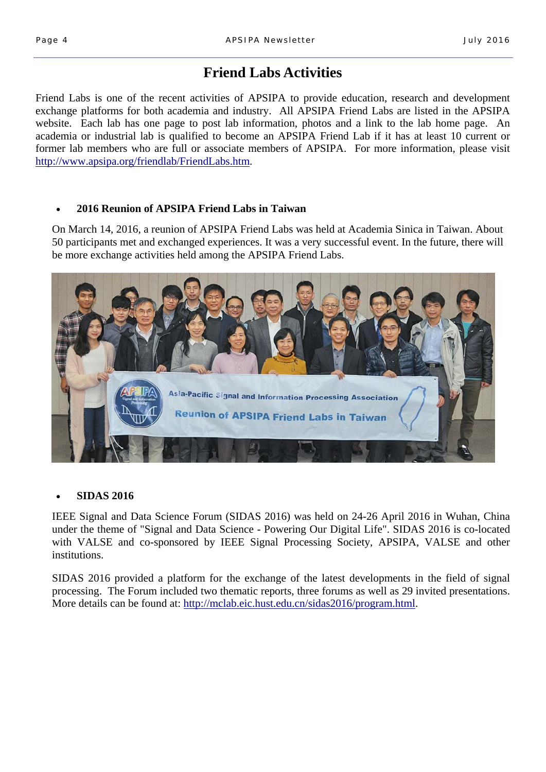# **Friend Labs Activities**

Friend Labs is one of the recent activities of APSIPA to provide education, research and development exchange platforms for both academia and industry. All APSIPA Friend Labs are listed in the APSIPA website. Each lab has one page to post lab information, photos and a link to the lab home page. An academia or industrial lab is qualified to become an APSIPA Friend Lab if it has at least 10 current or former lab members who are full or associate members of APSIPA. For more information, please visit http://www.apsipa.org/friendlab/FriendLabs.htm.

### **2016 Reunion of APSIPA Friend Labs in Taiwan**

On March 14, 2016, a reunion of APSIPA Friend Labs was held at Academia Sinica in Taiwan. About 50 participants met and exchanged experiences. It was a very successful event. In the future, there will be more exchange activities held among the APSIPA Friend Labs.



### **SIDAS 2016**

IEEE Signal and Data Science Forum (SIDAS 2016) was held on 24-26 April 2016 in Wuhan, China under the theme of "Signal and Data Science - Powering Our Digital Life". SIDAS 2016 is co-located with VALSE and co-sponsored by IEEE Signal Processing Society, APSIPA, VALSE and other institutions.

SIDAS 2016 provided a platform for the exchange of the latest developments in the field of signal processing. The Forum included two thematic reports, three forums as well as 29 invited presentations. More details can be found at: http://mclab.eic.hust.edu.cn/sidas2016/program.html.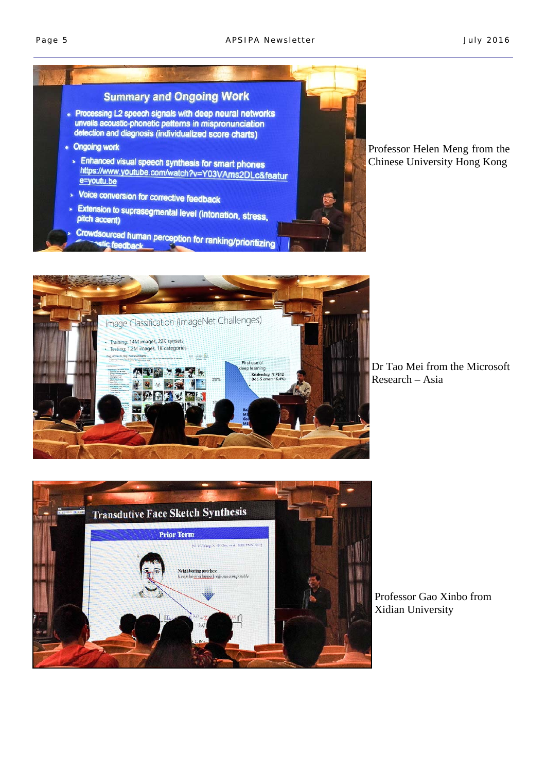



Dr Tao Mei from the Microsoft Research – Asia



Professor Gao Xinbo from Xidian University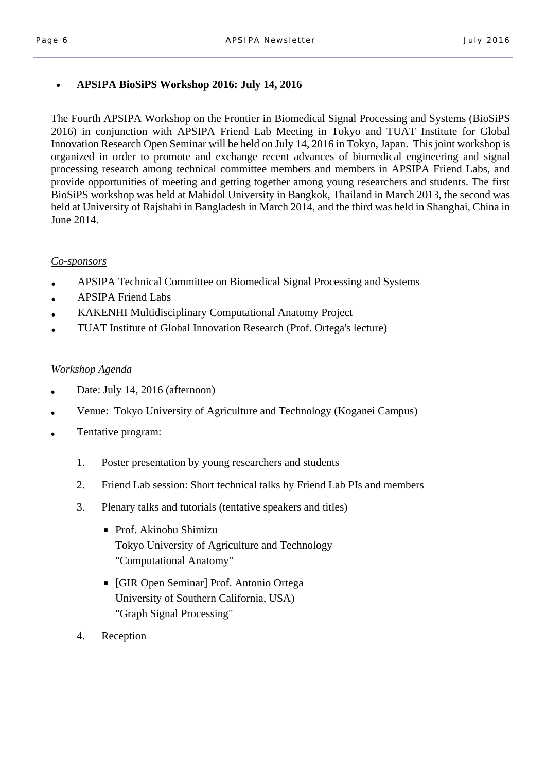## **APSIPA BioSiPS Workshop 2016: July 14, 2016**

The Fourth APSIPA Workshop on the Frontier in Biomedical Signal Processing and Systems (BioSiPS 2016) in conjunction with APSIPA Friend Lab Meeting in Tokyo and TUAT Institute for Global Innovation Research Open Seminar will be held on July 14, 2016 in Tokyo, Japan. This joint workshop is organized in order to promote and exchange recent advances of biomedical engineering and signal processing research among technical committee members and members in APSIPA Friend Labs, and provide opportunities of meeting and getting together among young researchers and students. The first BioSiPS workshop was held at Mahidol University in Bangkok, Thailand in March 2013, the second was held at University of Rajshahi in Bangladesh in March 2014, and the third was held in Shanghai, China in June 2014.

## *Co-sponsors*

- APSIPA Technical Committee on Biomedical Signal Processing and Systems
- **APSIPA Friend Labs**
- KAKENHI Multidisciplinary Computational Anatomy Project
- TUAT Institute of Global Innovation Research (Prof. Ortega's lecture)

## *Workshop Agenda*

- Date: July 14, 2016 (afternoon)
- Venue: Tokyo University of Agriculture and Technology (Koganei Campus)
- Tentative program:
	- 1. Poster presentation by young researchers and students
	- 2. Friend Lab session: Short technical talks by Friend Lab PIs and members
	- 3. Plenary talks and tutorials (tentative speakers and titles)
		- Prof. Akinobu Shimizu Tokyo University of Agriculture and Technology "Computational Anatomy"
		- [GIR Open Seminar] Prof. Antonio Ortega University of Southern California, USA) "Graph Signal Processing"
	- 4. Reception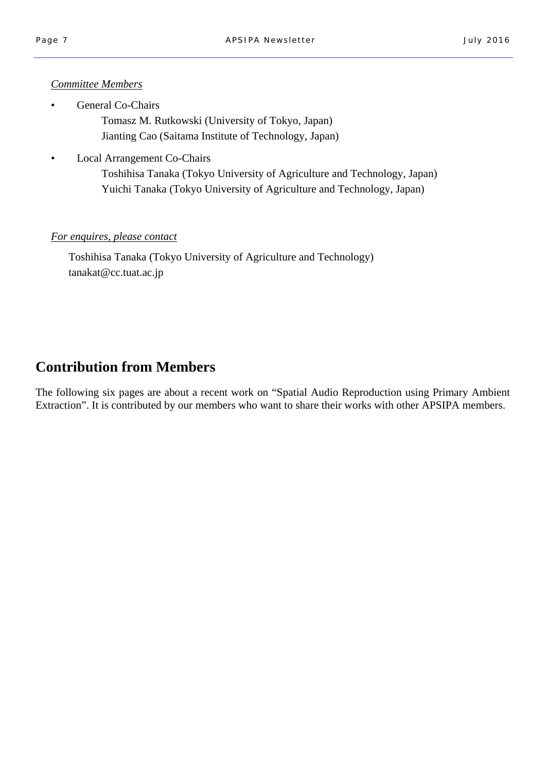### *Committee Members*

General Co-Chairs

 Tomasz M. Rutkowski (University of Tokyo, Japan) Jianting Cao (Saitama Institute of Technology, Japan)

• Local Arrangement Co-Chairs

 Toshihisa Tanaka (Tokyo University of Agriculture and Technology, Japan) Yuichi Tanaka (Tokyo University of Agriculture and Technology, Japan)

## *For enquires, please contact*

 Toshihisa Tanaka (Tokyo University of Agriculture and Technology) tanakat@cc.tuat.ac.jp

# **Contribution from Members**

The following six pages are about a recent work on "Spatial Audio Reproduction using Primary Ambient Extraction". It is contributed by our members who want to share their works with other APSIPA members.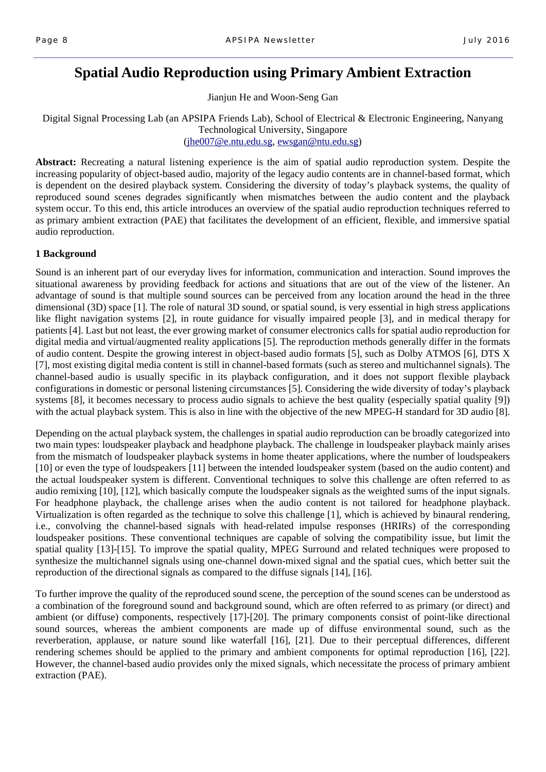# **Spatial Audio Reproduction using Primary Ambient Extraction**

Jianjun He and Woon-Seng Gan

Digital Signal Processing Lab (an APSIPA Friends Lab), School of Electrical & Electronic Engineering, Nanyang Technological University, Singapore (jhe007@e.ntu.edu.sg, ewsgan@ntu.edu.sg)

**Abstract:** Recreating a natural listening experience is the aim of spatial audio reproduction system. Despite the increasing popularity of object-based audio, majority of the legacy audio contents are in channel-based format, which is dependent on the desired playback system. Considering the diversity of today's playback systems, the quality of reproduced sound scenes degrades significantly when mismatches between the audio content and the playback system occur. To this end, this article introduces an overview of the spatial audio reproduction techniques referred to as primary ambient extraction (PAE) that facilitates the development of an efficient, flexible, and immersive spatial audio reproduction.

### **1 Background**

Sound is an inherent part of our everyday lives for information, communication and interaction. Sound improves the situational awareness by providing feedback for actions and situations that are out of the view of the listener. An advantage of sound is that multiple sound sources can be perceived from any location around the head in the three dimensional (3D) space [1]. The role of natural 3D sound, or spatial sound, is very essential in high stress applications like flight navigation systems [2], in route guidance for visually impaired people [3], and in medical therapy for patients [4]. Last but not least, the ever growing market of consumer electronics calls for spatial audio reproduction for digital media and virtual/augmented reality applications [5]. The reproduction methods generally differ in the formats of audio content. Despite the growing interest in object-based audio formats [5], such as Dolby ATMOS [6], DTS X [7], most existing digital media content is still in channel-based formats (such as stereo and multichannel signals). The channel-based audio is usually specific in its playback configuration, and it does not support flexible playback configurations in domestic or personal listening circumstances [5]. Considering the wide diversity of today's playback systems [8], it becomes necessary to process audio signals to achieve the best quality (especially spatial quality [9]) with the actual playback system. This is also in line with the objective of the new MPEG-H standard for 3D audio [8].

Depending on the actual playback system, the challenges in spatial audio reproduction can be broadly categorized into two main types: loudspeaker playback and headphone playback. The challenge in loudspeaker playback mainly arises from the mismatch of loudspeaker playback systems in home theater applications, where the number of loudspeakers [10] or even the type of loudspeakers [11] between the intended loudspeaker system (based on the audio content) and the actual loudspeaker system is different. Conventional techniques to solve this challenge are often referred to as audio remixing [10], [12], which basically compute the loudspeaker signals as the weighted sums of the input signals. For headphone playback, the challenge arises when the audio content is not tailored for headphone playback. Virtualization is often regarded as the technique to solve this challenge [1], which is achieved by binaural rendering, i.e., convolving the channel-based signals with head-related impulse responses (HRIRs) of the corresponding loudspeaker positions. These conventional techniques are capable of solving the compatibility issue, but limit the spatial quality [13]-[15]. To improve the spatial quality, MPEG Surround and related techniques were proposed to synthesize the multichannel signals using one-channel down-mixed signal and the spatial cues, which better suit the reproduction of the directional signals as compared to the diffuse signals [14], [16].

To further improve the quality of the reproduced sound scene, the perception of the sound scenes can be understood as a combination of the foreground sound and background sound, which are often referred to as primary (or direct) and ambient (or diffuse) components, respectively [17]-[20]. The primary components consist of point-like directional sound sources, whereas the ambient components are made up of diffuse environmental sound, such as the reverberation, applause, or nature sound like waterfall [16], [21]. Due to their perceptual differences, different rendering schemes should be applied to the primary and ambient components for optimal reproduction [16], [22]. However, the channel-based audio provides only the mixed signals, which necessitate the process of primary ambient extraction (PAE).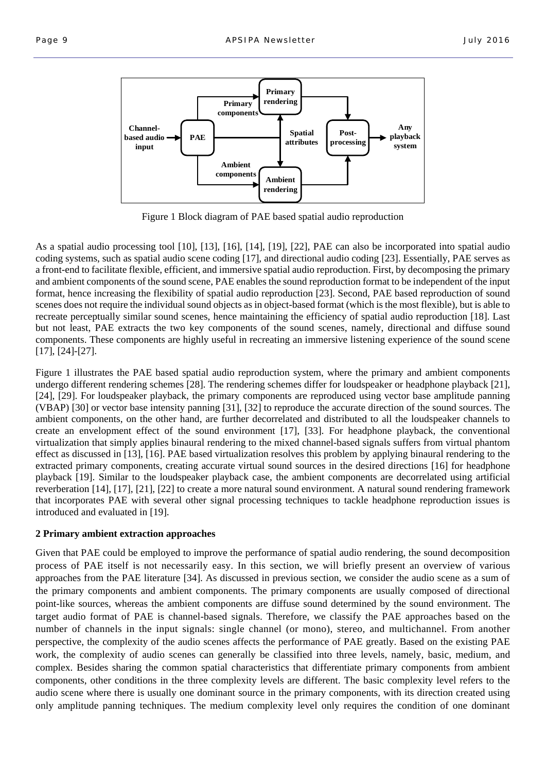

Figure 1 Block diagram of PAE based spatial audio reproduction

As a spatial audio processing tool [10], [13], [16], [14], [19], [22], PAE can also be incorporated into spatial audio coding systems, such as spatial audio scene coding [17], and directional audio coding [23]. Essentially, PAE serves as a front-end to facilitate flexible, efficient, and immersive spatial audio reproduction. First, by decomposing the primary and ambient components of the sound scene, PAE enables the sound reproduction format to be independent of the input format, hence increasing the flexibility of spatial audio reproduction [23]. Second, PAE based reproduction of sound scenes does not require the individual sound objects as in object-based format (which is the most flexible), but is able to recreate perceptually similar sound scenes, hence maintaining the efficiency of spatial audio reproduction [18]. Last but not least, PAE extracts the two key components of the sound scenes, namely, directional and diffuse sound components. These components are highly useful in recreating an immersive listening experience of the sound scene [17], [24]-[27].

Figure 1 illustrates the PAE based spatial audio reproduction system, where the primary and ambient components undergo different rendering schemes [28]. The rendering schemes differ for loudspeaker or headphone playback [21], [24], [29]. For loudspeaker playback, the primary components are reproduced using vector base amplitude panning (VBAP) [30] or vector base intensity panning [31], [32] to reproduce the accurate direction of the sound sources. The ambient components, on the other hand, are further decorrelated and distributed to all the loudspeaker channels to create an envelopment effect of the sound environment [17], [33]. For headphone playback, the conventional virtualization that simply applies binaural rendering to the mixed channel-based signals suffers from virtual phantom effect as discussed in [13], [16]. PAE based virtualization resolves this problem by applying binaural rendering to the extracted primary components, creating accurate virtual sound sources in the desired directions [16] for headphone playback [19]. Similar to the loudspeaker playback case, the ambient components are decorrelated using artificial reverberation [14], [17], [21], [22] to create a more natural sound environment. A natural sound rendering framework that incorporates PAE with several other signal processing techniques to tackle headphone reproduction issues is introduced and evaluated in [19].

#### **2 Primary ambient extraction approaches**

Given that PAE could be employed to improve the performance of spatial audio rendering, the sound decomposition process of PAE itself is not necessarily easy. In this section, we will briefly present an overview of various approaches from the PAE literature [34]. As discussed in previous section, we consider the audio scene as a sum of the primary components and ambient components. The primary components are usually composed of directional point-like sources, whereas the ambient components are diffuse sound determined by the sound environment. The target audio format of PAE is channel-based signals. Therefore, we classify the PAE approaches based on the number of channels in the input signals: single channel (or mono), stereo, and multichannel. From another perspective, the complexity of the audio scenes affects the performance of PAE greatly. Based on the existing PAE work, the complexity of audio scenes can generally be classified into three levels, namely, basic, medium, and complex. Besides sharing the common spatial characteristics that differentiate primary components from ambient components, other conditions in the three complexity levels are different. The basic complexity level refers to the audio scene where there is usually one dominant source in the primary components, with its direction created using only amplitude panning techniques. The medium complexity level only requires the condition of one dominant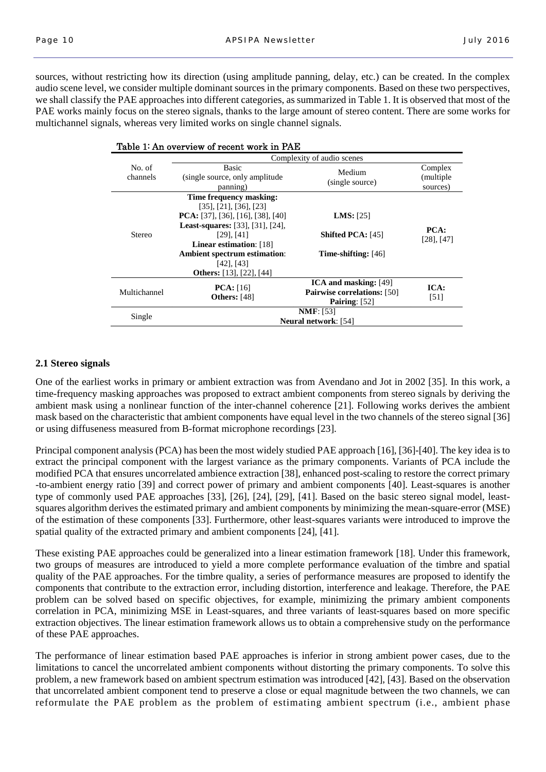sources, without restricting how its direction (using amplitude panning, delay, etc.) can be created. In the complex audio scene level, we consider multiple dominant sources in the primary components. Based on these two perspectives, we shall classify the PAE approaches into different categories, as summarized in Table 1. It is observed that most of the PAE works mainly focus on the stereo signals, thanks to the large amount of stereo content. There are some works for multichannel signals, whereas very limited works on single channel signals.

| Table 1: An overview of recent work in PAE |                                                                                                                                                                                                                                                                                                 |                                                                                       |                                   |  |  |
|--------------------------------------------|-------------------------------------------------------------------------------------------------------------------------------------------------------------------------------------------------------------------------------------------------------------------------------------------------|---------------------------------------------------------------------------------------|-----------------------------------|--|--|
|                                            | Complexity of audio scenes                                                                                                                                                                                                                                                                      |                                                                                       |                                   |  |  |
| No. of<br>channels                         | Basic<br>(single source, only amplitude)<br>panning)                                                                                                                                                                                                                                            | Medium<br>(single source)                                                             | Complex<br>(multiple)<br>sources) |  |  |
| <b>Stereo</b>                              | Time frequency masking:<br>$[35]$ , $[21]$ , $[36]$ , $[23]$<br><b>PCA</b> : [37], [36], [16], [38], [40]<br><b>Least-squares:</b> [33], [31], [24],<br>$[29]$ , $[41]$<br>Linear estimation: [18]<br><b>Ambient spectrum estimation:</b><br>$[42]$ , $[43]$<br><b>Others:</b> [13], [22], [44] | <b>LMS</b> : $[25]$<br><b>Shifted PCA:</b> [45]<br><b>Time-shifting:</b> $[46]$       | PCA:<br>$[28]$ , $[47]$           |  |  |
| Multichannel                               | <b>PCA</b> : $[16]$<br><b>Others:</b> [48]                                                                                                                                                                                                                                                      | <b>ICA and masking:</b> [49]<br><b>Pairwise correlations:</b> [50]<br>Pairing: $[52]$ | ICA:<br>[51]                      |  |  |
| Single                                     | NMF: [53]<br><b>Neural network:</b> [54]                                                                                                                                                                                                                                                        |                                                                                       |                                   |  |  |

#### **2.1 Stereo signals**

One of the earliest works in primary or ambient extraction was from Avendano and Jot in 2002 [35]. In this work, a time-frequency masking approaches was proposed to extract ambient components from stereo signals by deriving the ambient mask using a nonlinear function of the inter-channel coherence [21]. Following works derives the ambient mask based on the characteristic that ambient components have equal level in the two channels of the stereo signal [36] or using diffuseness measured from B-format microphone recordings [23].

Principal component analysis (PCA) has been the most widely studied PAE approach [16], [36]-[40]. The key idea is to extract the principal component with the largest variance as the primary components. Variants of PCA include the modified PCA that ensures uncorrelated ambience extraction [38], enhanced post-scaling to restore the correct primary -to-ambient energy ratio [39] and correct power of primary and ambient components [40]. Least-squares is another type of commonly used PAE approaches [33], [26], [24], [29], [41]. Based on the basic stereo signal model, leastsquares algorithm derives the estimated primary and ambient components by minimizing the mean-square-error (MSE) of the estimation of these components [33]. Furthermore, other least-squares variants were introduced to improve the spatial quality of the extracted primary and ambient components [24], [41].

These existing PAE approaches could be generalized into a linear estimation framework [18]. Under this framework, two groups of measures are introduced to yield a more complete performance evaluation of the timbre and spatial quality of the PAE approaches. For the timbre quality, a series of performance measures are proposed to identify the components that contribute to the extraction error, including distortion, interference and leakage. Therefore, the PAE problem can be solved based on specific objectives, for example, minimizing the primary ambient components correlation in PCA, minimizing MSE in Least-squares, and three variants of least-squares based on more specific extraction objectives. The linear estimation framework allows us to obtain a comprehensive study on the performance of these PAE approaches.

The performance of linear estimation based PAE approaches is inferior in strong ambient power cases, due to the limitations to cancel the uncorrelated ambient components without distorting the primary components. To solve this problem, a new framework based on ambient spectrum estimation was introduced [42], [43]. Based on the observation that uncorrelated ambient component tend to preserve a close or equal magnitude between the two channels, we can reformulate the PAE problem as the problem of estimating ambient spectrum (i.e., ambient phase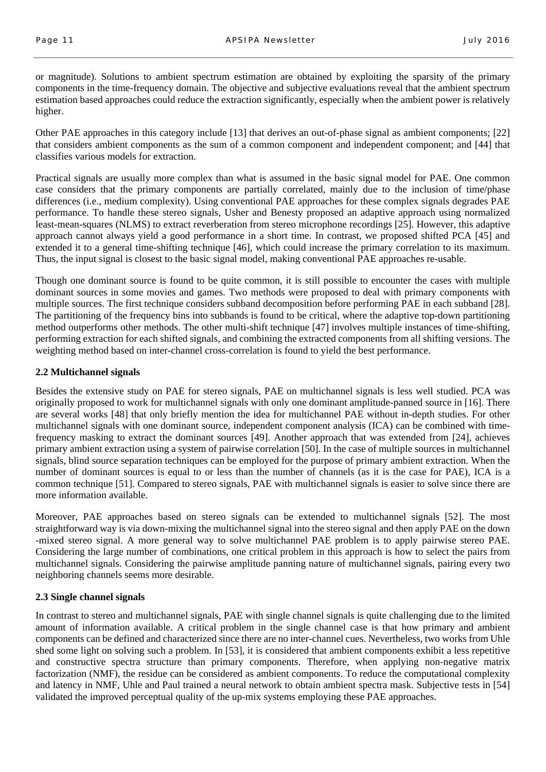or magnitude). Solutions to ambient spectrum estimation are obtained by exploiting the sparsity of the primary components in the time-frequency domain. The objective and subjective evaluations reveal that the ambient spectrum estimation based approaches could reduce the extraction significantly, especially when the ambient power is relatively higher.

Other PAE approaches in this category include [13] that derives an out-of-phase signal as ambient components; [22] that considers ambient components as the sum of a common component and independent component; and [44] that classifies various models for extraction.

Practical signals are usually more complex than what is assumed in the basic signal model for PAE. One common case considers that the primary components are partially correlated, mainly due to the inclusion of time/phase differences (i.e., medium complexity). Using conventional PAE approaches for these complex signals degrades PAE performance. To handle these stereo signals, Usher and Benesty proposed an adaptive approach using normalized least-mean-squares (NLMS) to extract reverberation from stereo microphone recordings [25]. However, this adaptive approach cannot always yield a good performance in a short time. In contrast, we proposed shifted PCA [45] and extended it to a general time-shifting technique [46], which could increase the primary correlation to its maximum. Thus, the input signal is closest to the basic signal model, making conventional PAE approaches re-usable.

Though one dominant source is found to be quite common, it is still possible to encounter the cases with multiple dominant sources in some movies and games. Two methods were proposed to deal with primary components with multiple sources. The first technique considers subband decomposition before performing PAE in each subband [28]. The partitioning of the frequency bins into subbands is found to be critical, where the adaptive top-down partitioning method outperforms other methods. The other multi-shift technique [47] involves multiple instances of time-shifting, performing extraction for each shifted signals, and combining the extracted components from all shifting versions. The weighting method based on inter-channel cross-correlation is found to yield the best performance.

#### **2.2 Multichannel signals**

Besides the extensive study on PAE for stereo signals, PAE on multichannel signals is less well studied. PCA was originally proposed to work for multichannel signals with only one dominant amplitude-panned source in [16]. There are several works [48] that only briefly mention the idea for multichannel PAE without in-depth studies. For other multichannel signals with one dominant source, independent component analysis (ICA) can be combined with timefrequency masking to extract the dominant sources [49]. Another approach that was extended from [24], achieves primary ambient extraction using a system of pairwise correlation [50]. In the case of multiple sources in multichannel signals, blind source separation techniques can be employed for the purpose of primary ambient extraction. When the number of dominant sources is equal to or less than the number of channels (as it is the case for PAE), ICA is a common technique [51]. Compared to stereo signals, PAE with multichannel signals is easier to solve since there are more information available.

Moreover, PAE approaches based on stereo signals can be extended to multichannel signals [52]. The most straightforward way is via down-mixing the multichannel signal into the stereo signal and then apply PAE on the down -mixed stereo signal. A more general way to solve multichannel PAE problem is to apply pairwise stereo PAE. Considering the large number of combinations, one critical problem in this approach is how to select the pairs from multichannel signals. Considering the pairwise amplitude panning nature of multichannel signals, pairing every two neighboring channels seems more desirable.

### **2.3 Single channel signals**

In contrast to stereo and multichannel signals, PAE with single channel signals is quite challenging due to the limited amount of information available. A critical problem in the single channel case is that how primary and ambient components can be defined and characterized since there are no inter-channel cues. Nevertheless, two works from Uhle shed some light on solving such a problem. In [53], it is considered that ambient components exhibit a less repetitive and constructive spectra structure than primary components. Therefore, when applying non-negative matrix factorization (NMF), the residue can be considered as ambient components. To reduce the computational complexity and latency in NMF, Uhle and Paul trained a neural network to obtain ambient spectra mask. Subjective tests in [54] validated the improved perceptual quality of the up-mix systems employing these PAE approaches.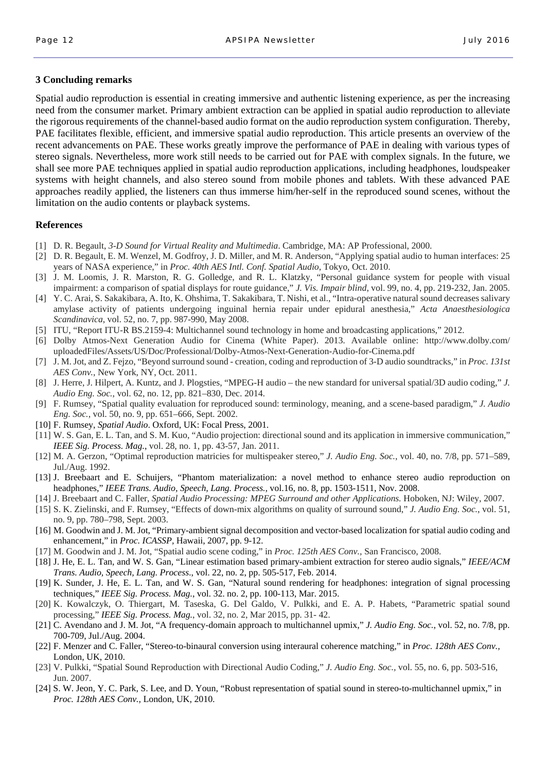#### **3 Concluding remarks**

Spatial audio reproduction is essential in creating immersive and authentic listening experience, as per the increasing need from the consumer market. Primary ambient extraction can be applied in spatial audio reproduction to alleviate the rigorous requirements of the channel-based audio format on the audio reproduction system configuration. Thereby, PAE facilitates flexible, efficient, and immersive spatial audio reproduction. This article presents an overview of the recent advancements on PAE. These works greatly improve the performance of PAE in dealing with various types of stereo signals. Nevertheless, more work still needs to be carried out for PAE with complex signals. In the future, we shall see more PAE techniques applied in spatial audio reproduction applications, including headphones, loudspeaker systems with height channels, and also stereo sound from mobile phones and tablets. With these advanced PAE approaches readily applied, the listeners can thus immerse him/her-self in the reproduced sound scenes, without the limitation on the audio contents or playback systems.

#### **References**

- [1] D. R. Begault, *3-D Sound for Virtual Reality and Multimedia*. Cambridge, MA: AP Professional, 2000.
- [2] D. R. Begault, E. M. Wenzel, M. Godfroy, J. D. Miller, and M. R. Anderson, "Applying spatial audio to human interfaces: 25 years of NASA experience," in *Proc. 40th AES Intl. Conf. Spatial Audio*, Tokyo, Oct. 2010.
- [3] J. M. Loomis, J. R. Marston, R. G. Golledge, and R. L. Klatzky, "Personal guidance system for people with visual impairment: a comparison of spatial displays for route guidance," *J. Vis. Impair blind*, vol. 99, no. 4, pp. 219-232, Jan. 2005.
- [4] Y. C. Arai, S. Sakakibara, A. Ito, K. Ohshima, T. Sakakibara, T. Nishi, et al., "Intra-operative natural sound decreases salivary amylase activity of patients undergoing inguinal hernia repair under epidural anesthesia," *Acta Anaesthesiologica Scandinavica*, vol. 52, no. 7, pp. 987-990, May 2008.
- [5] ITU, "Report ITU-R BS.2159-4: Multichannel sound technology in home and broadcasting applications," 2012.
- [6] Dolby Atmos-Next Generation Audio for Cinema (White Paper). 2013. Available online: http://www.dolby.com/ uploadedFiles/Assets/US/Doc/Professional/Dolby-Atmos-Next-Generation-Audio-for-Cinema.pdf
- [7] J. M. Jot, and Z. Fejzo, "Beyond surround sound creation, coding and reproduction of 3-D audio soundtracks," in *Proc. 131st AES Conv.*, New York, NY, Oct. 2011.
- [8] J. Herre, J. Hilpert, A. Kuntz, and J. Plogsties, "MPEG-H audio the new standard for universal spatial/3D audio coding," *J. Audio Eng. Soc.*, vol. 62, no. 12, pp. 821–830, Dec. 2014.
- [9] F. Rumsey, "Spatial quality evaluation for reproduced sound: terminology, meaning, and a scene-based paradigm," *J. Audio Eng. Soc.*, vol. 50, no. 9, pp. 651–666, Sept. 2002.
- [10] F. Rumsey, *Spatial Audio*. Oxford, UK: Focal Press, 2001.
- [11] W. S. Gan, E. L. Tan, and S. M. Kuo, "Audio projection: directional sound and its application in immersive communication," *IEEE Sig. Process. Mag.*, vol. 28, no. 1, pp. 43-57, Jan. 2011.
- [12] M. A. Gerzon, "Optimal reproduction matricies for multispeaker stereo," *J. Audio Eng. Soc.*, vol. 40, no. 7/8, pp. 571–589, Jul./Aug. 1992.
- [13] J. Breebaart and E. Schuijers, "Phantom materialization: a novel method to enhance stereo audio reproduction on headphones," *IEEE Trans. Audio, Speech, Lang. Process.,* vol.16, no. 8, pp. 1503-1511, Nov. 2008.
- [14] J. Breebaart and C. Faller, *Spatial Audio Processing: MPEG Surround and other Applications.* Hoboken, NJ: Wiley, 2007.
- [15] S. K. Zielinski, and F. Rumsey, "Effects of down-mix algorithms on quality of surround sound," *J. Audio Eng. Soc.*, vol. 51, no. 9, pp. 780–798, Sept. 2003.
- [16] M. Goodwin and J. M. Jot, "Primary-ambient signal decomposition and vector-based localization for spatial audio coding and enhancement," in *Proc. ICASSP,* Hawaii, 2007, pp. 9-12.
- [17] M. Goodwin and J. M. Jot, "Spatial audio scene coding," in *Proc. 125th AES Conv.,* San Francisco, 2008.
- [18] J. He, E. L. Tan, and W. S. Gan, "Linear estimation based primary-ambient extraction for stereo audio signals," *IEEE/ACM Trans. Audio, Speech, Lang. Process*., vol. 22, no. 2, pp. 505-517, Feb. 2014.
- [19] K. Sunder, J. He, E. L. Tan, and W. S. Gan, "Natural sound rendering for headphones: integration of signal processing techniques," *IEEE Sig. Process. Mag.*, vol. 32. no. 2, pp. 100-113, Mar. 2015.
- [20] K. Kowalczyk, O. Thiergart, M. Taseska, G. Del Galdo, V. Pulkki, and E. A. P. Habets, "Parametric spatial sound processing," *IEEE Sig. Process. Mag.*, vol. 32, no. 2, Mar 2015, pp. 31- 42.
- [21] C. Avendano and J. M. Jot, "A frequency-domain approach to multichannel upmix," *J. Audio Eng. Soc.*, vol. 52, no. 7/8, pp. 700-709, Jul./Aug. 2004.
- [22] F. Menzer and C. Faller, "Stereo-to-binaural conversion using interaural coherence matching," in *Proc. 128th AES Conv.,*  London, UK, 2010.
- [23] V. Pulkki, "Spatial Sound Reproduction with Directional Audio Coding," *J. Audio Eng. Soc.,* vol. 55, no. 6, pp. 503-516, Jun. 2007.
- [24] S. W. Jeon, Y. C. Park, S. Lee, and D. Youn, "Robust representation of spatial sound in stereo-to-multichannel upmix," in *Proc. 128th AES Conv.,* London, UK, 2010.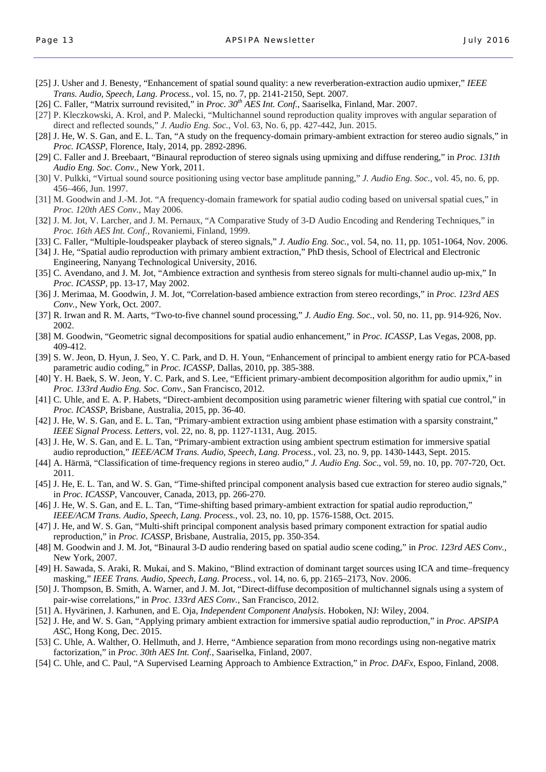- [25] J. Usher and J. Benesty, "Enhancement of spatial sound quality: a new reverberation-extraction audio upmixer," *IEEE Trans. Audio, Speech, Lang. Process.,* vol. 15, no. 7, pp. 2141-2150, Sept. 2007.
- [26] C. Faller, "Matrix surround revisited," in Proc. 30<sup>th</sup> AES Int. Conf., Saariselka, Finland, Mar. 2007.
- [27] P. Kleczkowski, A. Krol, and P. Malecki, "Multichannel sound reproduction quality improves with angular separation of direct and reflected sounds," *J. Audio Eng. Soc.*, Vol. 63, No. 6, pp. 427-442, Jun. 2015.
- [28] J. He, W. S. Gan, and E. L. Tan, "A study on the frequency-domain primary-ambient extraction for stereo audio signals," in *Proc. ICASSP*, Florence, Italy, 2014, pp. 2892-2896.
- [29] C. Faller and J. Breebaart, "Binaural reproduction of stereo signals using upmixing and diffuse rendering," in *Proc. 131th Audio Eng. Soc. Conv.,* New York, 2011.
- [30] V. Pulkki, "Virtual sound source positioning using vector base amplitude panning," *J. Audio Eng. Soc.*, vol. 45, no. 6, pp. 456–466, Jun. 1997.
- [31] M. Goodwin and J.-M. Jot. "A frequency-domain framework for spatial audio coding based on universal spatial cues," in *Proc. 120th AES Conv*., May 2006.
- [32] J. M. Jot, V. Larcher, and J. M. Pernaux, "A Comparative Study of 3-D Audio Encoding and Rendering Techniques," in *Proc. 16th AES Int. Conf.,* Rovaniemi, Finland, 1999.
- [33] C. Faller, "Multiple-loudspeaker playback of stereo signals," *J. Audio Eng. Soc.,* vol. 54, no. 11, pp. 1051-1064, Nov. 2006.
- [34] J. He, "Spatial audio reproduction with primary ambient extraction," PhD thesis, School of Electrical and Electronic Engineering, Nanyang Technological University, 2016.
- [35] C. Avendano, and J. M. Jot, "Ambience extraction and synthesis from stereo signals for multi-channel audio up-mix," In *Proc. ICASSP,* pp. 13-17, May 2002.
- [36] J. Merimaa, M. Goodwin, J. M. Jot, "Correlation-based ambience extraction from stereo recordings," in *Proc. 123rd AES Conv.,* New York, Oct. 2007.
- [37] R. Irwan and R. M. Aarts, "Two-to-five channel sound processing," *J. Audio Eng. Soc.*, vol. 50, no. 11, pp. 914-926, Nov. 2002.
- [38] M. Goodwin, "Geometric signal decompositions for spatial audio enhancement," in *Proc. ICASSP*, Las Vegas, 2008, pp. 409-412.
- [39] S. W. Jeon, D. Hyun, J. Seo, Y. C. Park, and D. H. Youn, "Enhancement of principal to ambient energy ratio for PCA-based parametric audio coding," in *Proc. ICASSP*, Dallas, 2010, pp. 385-388.
- [40] Y. H. Baek, S. W. Jeon, Y. C. Park, and S. Lee, "Efficient primary-ambient decomposition algorithm for audio upmix," in *Proc. 133rd Audio Eng. Soc. Conv.,* San Francisco, 2012.
- [41] C. Uhle, and E. A. P. Habets, "Direct-ambient decomposition using parametric wiener filtering with spatial cue control," in *Proc. ICASSP*, Brisbane, Australia, 2015, pp. 36-40.
- [42] J. He, W. S. Gan, and E. L. Tan, "Primary-ambient extraction using ambient phase estimation with a sparsity constraint," *IEEE Signal Process. Letters*, vol. 22, no. 8, pp. 1127-1131, Aug. 2015.
- [43] J. He, W. S. Gan, and E. L. Tan, "Primary-ambient extraction using ambient spectrum estimation for immersive spatial audio reproduction," *IEEE/ACM Trans. Audio, Speech, Lang. Process.*, vol. 23, no. 9, pp. 1430-1443, Sept. 2015.
- [44] A. Härmä, "Classification of time-frequency regions in stereo audio," *J. Audio Eng. Soc*., vol. 59, no. 10, pp. 707-720, Oct. 2011.
- [45] J. He, E. L. Tan, and W. S. Gan, "Time-shifted principal component analysis based cue extraction for stereo audio signals," in *Proc. ICASSP*, Vancouver, Canada, 2013, pp. 266-270.
- [46] J. He, W. S. Gan, and E. L. Tan, "Time-shifting based primary-ambient extraction for spatial audio reproduction," *IEEE/ACM Trans. Audio, Speech, Lang. Process.*, vol. 23, no. 10, pp. 1576-1588, Oct. 2015.
- [47] J. He, and W. S. Gan, "Multi-shift principal component analysis based primary component extraction for spatial audio reproduction," in *Proc. ICASSP*, Brisbane, Australia, 2015, pp. 350-354.
- [48] M. Goodwin and J. M. Jot, "Binaural 3-D audio rendering based on spatial audio scene coding," in *Proc. 123rd AES Conv.,*  New York, 2007.
- [49] H. Sawada, S. Araki, R. Mukai, and S. Makino, "Blind extraction of dominant target sources using ICA and time–frequency masking," *IEEE Trans. Audio, Speech, Lang. Process.,* vol. 14, no. 6, pp. 2165–2173, Nov. 2006.
- [50] J. Thompson, B. Smith, A. Warner, and J. M. Jot, "Direct-diffuse decomposition of multichannel signals using a system of pair-wise correlations," in *Proc. 133rd AES Conv.,* San Francisco, 2012.
- [51] A. Hyvärinen, J. Karhunen, and E. Oja, *Independent Component Analysis*. Hoboken, NJ: Wiley, 2004.
- [52] J. He, and W. S. Gan, "Applying primary ambient extraction for immersive spatial audio reproduction," in *Proc. APSIPA ASC*, Hong Kong, Dec. 2015.
- [53] C. Uhle, A. Walther, O. Hellmuth, and J. Herre, "Ambience separation from mono recordings using non-negative matrix factorization," in *Proc. 30th AES Int. Conf.*, Saariselka, Finland, 2007.
- [54] C. Uhle, and C. Paul, "A Supervised Learning Approach to Ambience Extraction," in *Proc. DAFx*, Espoo, Finland, 2008.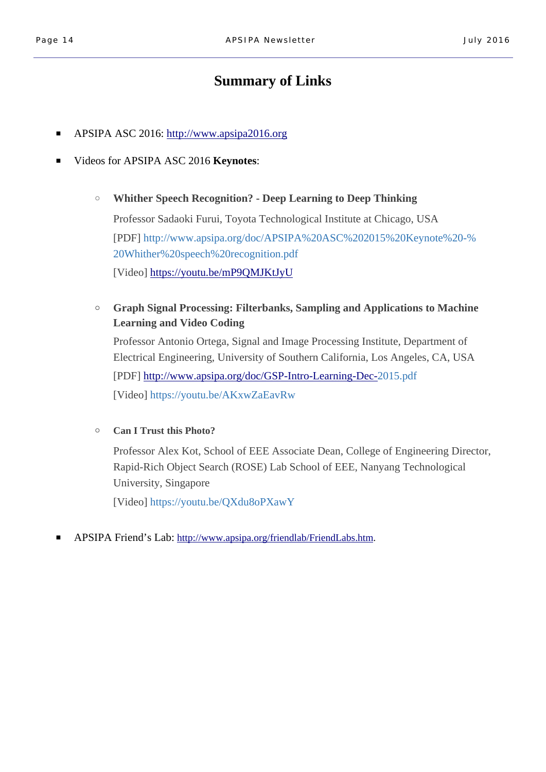# **Summary of Links**

- APSIPA ASC 2016: http://www.apsipa2016.org
- Videos for APSIPA ASC 2016 **Keynotes**:
	- **Whither Speech Recognition? Deep Learning to Deep Thinking** Professor Sadaoki Furui, Toyota Technological Institute at Chicago, USA [PDF] http://www.apsipa.org/doc/APSIPA%20ASC%202015%20Keynote%20-%

20Whither%20speech%20recognition.pdf

[Video] https://youtu.be/mP9QMJKtJyU

○ **Graph Signal Processing: Filterbanks, Sampling and Applications to Machine Learning and Video Coding**

Professor Antonio Ortega, Signal and Image Processing Institute, Department of Electrical Engineering, University of Southern California, Los Angeles, CA, USA [PDF] http://www.apsipa.org/doc/GSP-Intro-Learning-Dec-2015.pdf [Video] https://youtu.be/AKxwZaEavRw

○ **Can I Trust this Photo?**

Professor Alex Kot, School of EEE Associate Dean, College of Engineering Director, Rapid-Rich Object Search (ROSE) Lab School of EEE, Nanyang Technological University, Singapore

[Video] https://youtu.be/QXdu8oPXawY

■ APSIPA Friend's Lab: http://www.apsipa.org/friendlab/FriendLabs.htm.